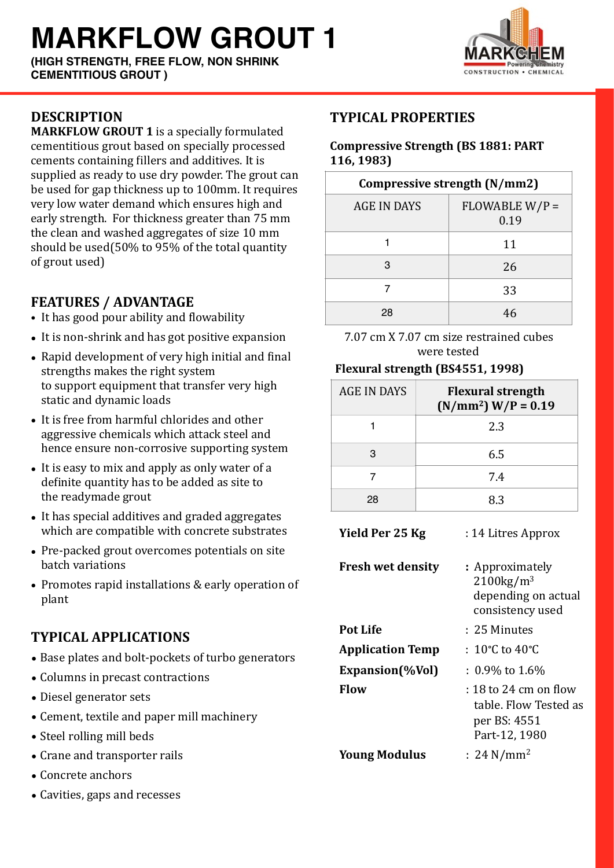## **MARKFLOW GROUT 1**

**(HIGH STRENGTH, FREE FLOW, NON SHRINK CEMENTITIOUS GROUT )**



## **DESCRIPTION**

**MARKFLOW GROUT 1** is a specially formulated cementitious grout based on specially processed cements containing fillers and additives. It is supplied as ready to use dry powder. The grout can be used for gap thickness up to 100mm. It requires very low water demand which ensures high and early strength. For thickness greater than 75 mm the clean and washed aggregates of size 10 mm should be used(50% to 95% of the total quantity of grout used)

## **FEATURES / ADVANTAGE**

- It has good pour ability and flowability
- It is non-shrink and has got positive expansion
- Rapid development of very high initial and final strengths makes the right system to support equipment that transfer very high static and dynamic loads
- $\bullet$  It is free from harmful chlorides and other aggressive chemicals which attack steel and hence ensure non-corrosive supporting system
- It is easy to mix and apply as only water of a definite quantity has to be added as site to the readymade grout
- It has special additives and graded aggregates which are compatible with concrete substrates
- Pre-packed grout overcomes potentials on site batch variations
- Promotes rapid installations & early operation of plant

### **TYPICAL APPLICATIONS**

- Base plates and bolt-pockets of turbo generators
- Columns in precast contractions
- Diesel generator sets
- Cement, textile and paper mill machinery
- Steel rolling mill beds
- Crane and transporter rails
- Concrete anchors
- Cavities, gaps and recesses

## **TYPICAL PROPERTIES**

#### **Compressive Strength (BS 1881: PART 116, 1983)**

| Compressive strength (N/mm2) |                          |  |
|------------------------------|--------------------------|--|
| <b>AGE IN DAYS</b>           | $FLOWABLE W/P =$<br>0.19 |  |
|                              | 11                       |  |
| З                            | 26                       |  |
| 7                            | 33                       |  |
| 28                           | 46                       |  |

7.07 cm X 7.07 cm size restrained cubes were tested

#### **Flexural strength (BS4551, 1998)**

| <b>AGE IN DAYS</b> | <b>Flexural strength</b><br>$(N/mm^2) W/P = 0.19$ |
|--------------------|---------------------------------------------------|
|                    | 2.3                                               |
| З                  | 6.5                                               |
|                    | 7.4                                               |
| 28                 | 83                                                |

**Yield Per 25 Kg** : 14 Litres Approx

| <b>Fresh wet density</b> | : Approximately<br>$2100\text{kg/m}^3$<br>depending on actual<br>consistency used |
|--------------------------|-----------------------------------------------------------------------------------|
| <b>Pot Life</b>          | : 25 Minutes                                                                      |
| <b>Application Temp</b>  | $\pm$ 10°C to 40°C                                                                |
| Expansion(%Vol)          | $:~0.9\%$ to $1.6\%$                                                              |
| <b>Flow</b>              | $: 18$ to 24 cm on flow<br>table, Flow Tested as<br>per BS: 4551<br>Part-12, 1980 |
| <b>Young Modulus</b>     | : 24 N/mm <sup>2</sup>                                                            |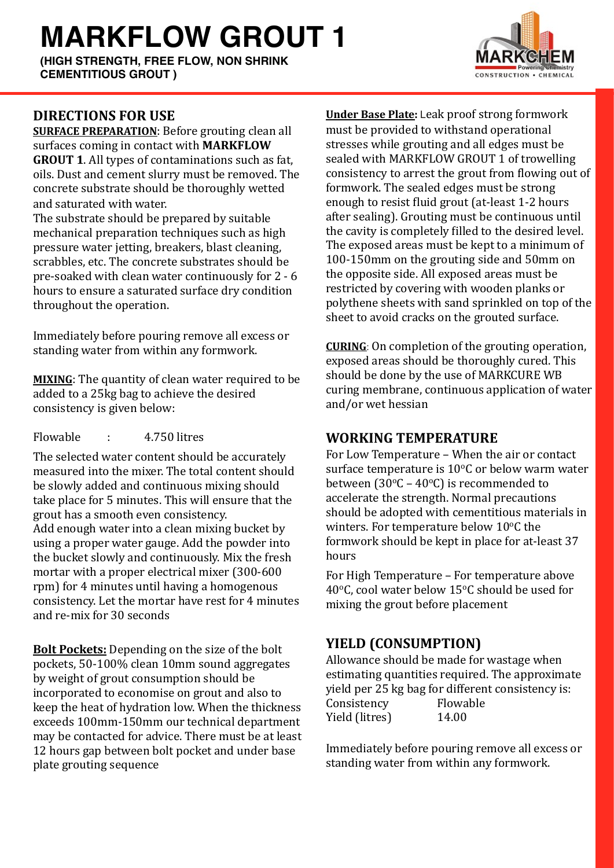# **MARKFLOW GROUT 1**

**(HIGH STRENGTH, FREE FLOW, NON SHRINK CEMENTITIOUS GROUT )**

#### **DIRECTIONS FOR USE**

**SURFACE PREPARATION:** Before grouting clean all surfaces coming in contact with **MARKFLOW GROUT 1.** All types of contaminations such as fat, oils. Dust and cement slurry must be removed. The concrete substrate should be thoroughly wetted and saturated with water.

The substrate should be prepared by suitable mechanical preparation techniques such as high pressure water jetting, breakers, blast cleaning, scrabbles, etc. The concrete substrates should be pre-soaked with clean water continuously for 2 - 6 hours to ensure a saturated surface dry condition throughout the operation.

Immediately before pouring remove all excess or standing water from within any formwork.

**MIXING**: The quantity of clean water required to be added to a 25kg bag to achieve the desired consistency is given below:

Flowable : 4.750 litres

The selected water content should be accurately measured into the mixer. The total content should be slowly added and continuous mixing should take place for 5 minutes. This will ensure that the grout has a smooth even consistency. Add enough water into a clean mixing bucket by using a proper water gauge. Add the powder into the bucket slowly and continuously. Mix the fresh mortar with a proper electrical mixer (300-600) rpm) for 4 minutes until having a homogenous consistency. Let the mortar have rest for 4 minutes and re-mix for 30 seconds

**Bolt Pockets:** Depending on the size of the bolt pockets, 50-100% clean 10mm sound aggregates by weight of grout consumption should be incorporated to economise on grout and also to keep the heat of hydration low. When the thickness exceeds 100mm-150mm our technical department may be contacted for advice. There must be at least 12 hours gap between bolt pocket and under base plate grouting sequence

**Under Base Plate:** Leak proof strong formwork must be provided to withstand operational stresses while grouting and all edges must be sealed with MARKFLOW GROUT 1 of trowelling consistency to arrest the grout from flowing out of formwork. The sealed edges must be strong enough to resist fluid grout (at-least 1-2 hours after sealing). Grouting must be continuous until the cavity is completely filled to the desired level. The exposed areas must be kept to a minimum of 100-150mm on the grouting side and 50mm on the opposite side. All exposed areas must be restricted by covering with wooden planks or polythene sheets with sand sprinkled on top of the sheet to avoid cracks on the grouted surface.

**CURING:** On completion of the grouting operation, exposed areas should be thoroughly cured. This should be done by the use of MARKCURE WB curing membrane, continuous application of water and/or wet hessian

#### **WORKING TEMPERATURE**

For Low Temperature – When the air or contact surface temperature is  $10^{\circ}$ C or below warm water between  $(30^{\circ}C - 40^{\circ}C)$  is recommended to accelerate the strength. Normal precautions should be adopted with cementitious materials in winters. For temperature below  $10^{\circ}$ C the formwork should be kept in place for at-least 37 hours 

For High Temperature - For temperature above 40 $\degree$ C, cool water below 15 $\degree$ C should be used for mixing the grout before placement

### **YIELD (CONSUMPTION)**

Allowance should be made for wastage when estimating quantities required. The approximate yield per 25 kg bag for different consistency is: Consistency Flowable Yield (litres) 14.00

Immediately before pouring remove all excess or standing water from within any formwork.